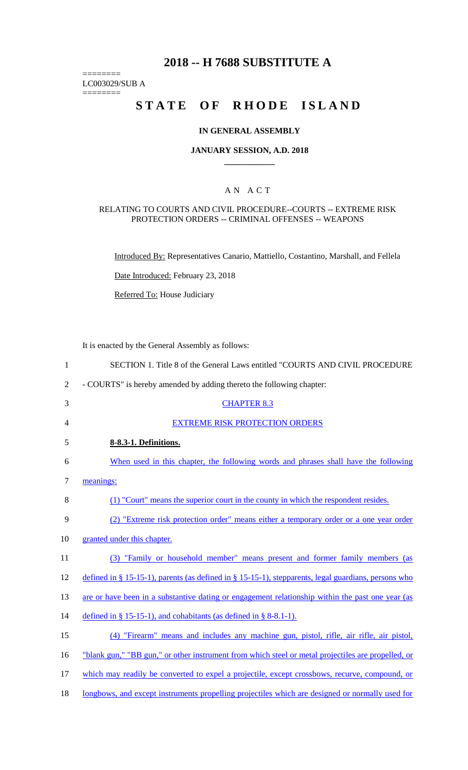# **2018 -- H 7688 SUBSTITUTE A**

LC003029/SUB A

========

========

# **STATE OF RHODE ISLAND**

#### **IN GENERAL ASSEMBLY**

#### **JANUARY SESSION, A.D. 2018 \_\_\_\_\_\_\_\_\_\_\_\_**

### A N A C T

#### RELATING TO COURTS AND CIVIL PROCEDURE--COURTS -- EXTREME RISK PROTECTION ORDERS -- CRIMINAL OFFENSES -- WEAPONS

Introduced By: Representatives Canario, Mattiello, Costantino, Marshall, and Fellela

Date Introduced: February 23, 2018

Referred To: House Judiciary

It is enacted by the General Assembly as follows:

| $\mathbf{1}$   | SECTION 1. Title 8 of the General Laws entitled "COURTS AND CIVIL PROCEDURE                         |
|----------------|-----------------------------------------------------------------------------------------------------|
| $\overline{2}$ | - COURTS" is hereby amended by adding thereto the following chapter:                                |
| 3              | <b>CHAPTER 8.3</b>                                                                                  |
| 4              | <b>EXTREME RISK PROTECTION ORDERS</b>                                                               |
| 5              | 8-8.3-1. Definitions.                                                                               |
| 6              | When used in this chapter, the following words and phrases shall have the following                 |
| $\tau$         | meanings:                                                                                           |
| 8              | (1) "Court" means the superior court in the county in which the respondent resides.                 |
| 9              | (2) "Extreme risk protection order" means either a temporary order or a one year order              |
| 10             | granted under this chapter.                                                                         |
| 11             | (3) "Family or household member" means present and former family members (as                        |
| 12             | defined in § 15-15-1), parents (as defined in § 15-15-1), stepparents, legal guardians, persons who |
| 13             | are or have been in a substantive dating or engagement relationship within the past one year (as    |
| 14             | defined in § 15-15-1), and cohabitants (as defined in § 8-8.1-1).                                   |
| 15             | (4) "Firearm" means and includes any machine gun, pistol, rifle, air rifle, air pistol,             |
| 16             | "blank gun," "BB gun," or other instrument from which steel or metal projectiles are propelled, or  |
| 17             | which may readily be converted to expel a projectile, except crossbows, recurve, compound, or       |
| 18             | longbows, and except instruments propelling projectiles which are designed or normally used for     |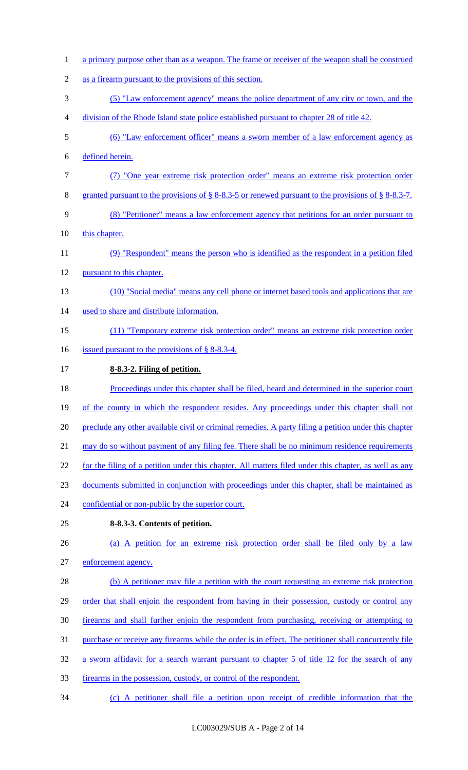a primary purpose other than as a weapon. The frame or receiver of the weapon shall be construed as a firearm pursuant to the provisions of this section. (5) "Law enforcement agency" means the police department of any city or town, and the division of the Rhode Island state police established pursuant to chapter 28 of title 42. (6) "Law enforcement officer" means a sworn member of a law enforcement agency as defined herein. (7) "One year extreme risk protection order" means an extreme risk protection order granted pursuant to the provisions of § 8-8.3-5 or renewed pursuant to the provisions of § 8-8.3-7. (8) "Petitioner" means a law enforcement agency that petitions for an order pursuant to 10 this chapter. (9) "Respondent" means the person who is identified as the respondent in a petition filed pursuant to this chapter. (10) "Social media" means any cell phone or internet based tools and applications that are used to share and distribute information. (11) "Temporary extreme risk protection order" means an extreme risk protection order 16 issued pursuant to the provisions of § 8-8.3-4. **8-8.3-2. Filing of petition.**  Proceedings under this chapter shall be filed, heard and determined in the superior court 19 of the county in which the respondent resides. Any proceedings under this chapter shall not 20 preclude any other available civil or criminal remedies. A party filing a petition under this chapter 21 may do so without payment of any filing fee. There shall be no minimum residence requirements for the filing of a petition under this chapter. All matters filed under this chapter, as well as any documents submitted in conjunction with proceedings under this chapter, shall be maintained as confidential or non-public by the superior court. **8-8.3-3. Contents of petition.**  (a) A petition for an extreme risk protection order shall be filed only by a law enforcement agency. 28 (b) A petitioner may file a petition with the court requesting an extreme risk protection 29 order that shall enjoin the respondent from having in their possession, custody or control any firearms and shall further enjoin the respondent from purchasing, receiving or attempting to purchase or receive any firearms while the order is in effect. The petitioner shall concurrently file a sworn affidavit for a search warrant pursuant to chapter 5 of title 12 for the search of any firearms in the possession, custody, or control of the respondent. (c) A petitioner shall file a petition upon receipt of credible information that the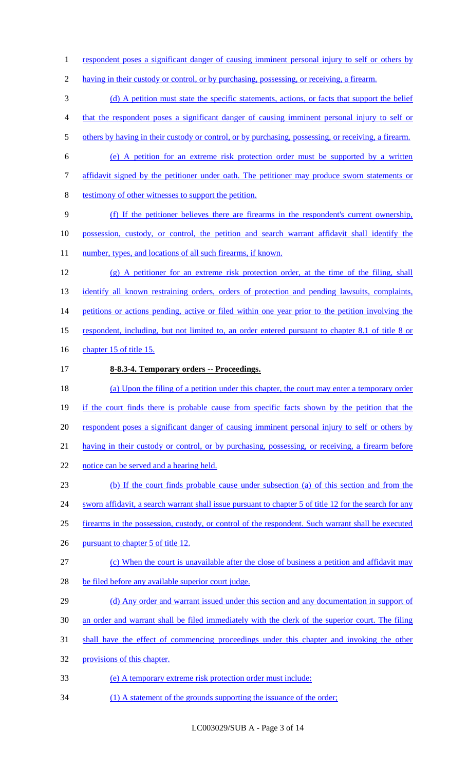1 respondent poses a significant danger of causing imminent personal injury to self or others by

2 having in their custody or control, or by purchasing, possessing, or receiving, a firearm.

3 (d) A petition must state the specific statements, actions, or facts that support the belief

- 4 that the respondent poses a significant danger of causing imminent personal injury to self or
- 5 others by having in their custody or control, or by purchasing, possessing, or receiving, a firearm.
- 6 (e) A petition for an extreme risk protection order must be supported by a written
- 7 affidavit signed by the petitioner under oath. The petitioner may produce sworn statements or
- 8 testimony of other witnesses to support the petition.
- 9 (f) If the petitioner believes there are firearms in the respondent's current ownership, 10 possession, custody, or control, the petition and search warrant affidavit shall identify the 11 number, types, and locations of all such firearms, if known.
- 12 (g) A petitioner for an extreme risk protection order, at the time of the filing, shall 13 identify all known restraining orders, orders of protection and pending lawsuits, complaints, 14 petitions or actions pending, active or filed within one year prior to the petition involving the 15 respondent, including, but not limited to, an order entered pursuant to chapter 8.1 of title 8 or
- 16 chapter 15 of title 15.
- 17 **8-8.3-4. Temporary orders -- Proceedings.**
- 18 (a) Upon the filing of a petition under this chapter, the court may enter a temporary order 19 if the court finds there is probable cause from specific facts shown by the petition that the 20 respondent poses a significant danger of causing imminent personal injury to self or others by 21 having in their custody or control, or by purchasing, possessing, or receiving, a firearm before 22 notice can be served and a hearing held.
- 23 (b) If the court finds probable cause under subsection (a) of this section and from the
- 24 sworn affidavit, a search warrant shall issue pursuant to chapter 5 of title 12 for the search for any
- 25 firearms in the possession, custody, or control of the respondent. Such warrant shall be executed
- 26 pursuant to chapter 5 of title 12.
- 27 (c) When the court is unavailable after the close of business a petition and affidavit may
- 28 be filed before any available superior court judge.
- 29 (d) Any order and warrant issued under this section and any documentation in support of
- 30 an order and warrant shall be filed immediately with the clerk of the superior court. The filing
- 31 shall have the effect of commencing proceedings under this chapter and invoking the other
- 32 provisions of this chapter.
- 33 (e) A temporary extreme risk protection order must include:
- 34 (1) A statement of the grounds supporting the issuance of the order;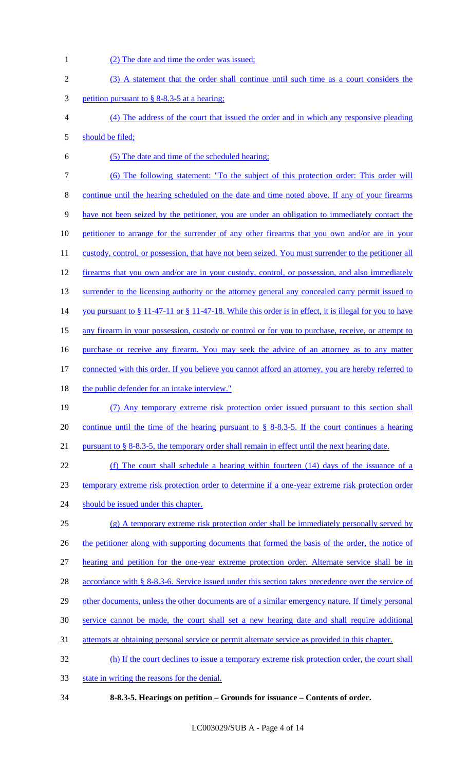- (2) The date and time the order was issued; (3) A statement that the order shall continue until such time as a court considers the petition pursuant to § 8-8.3-5 at a hearing; (4) The address of the court that issued the order and in which any responsive pleading should be filed; (5) The date and time of the scheduled hearing; (6) The following statement: "To the subject of this protection order: This order will continue until the hearing scheduled on the date and time noted above. If any of your firearms have not been seized by the petitioner, you are under an obligation to immediately contact the 10 petitioner to arrange for the surrender of any other firearms that you own and/or are in your 11 custody, control, or possession, that have not been seized. You must surrender to the petitioner all 12 firearms that you own and/or are in your custody, control, or possession, and also immediately 13 surrender to the licensing authority or the attorney general any concealed carry permit issued to 14 you pursuant to § 11-47-11 or § 11-47-18. While this order is in effect, it is illegal for you to have any firearm in your possession, custody or control or for you to purchase, receive, or attempt to purchase or receive any firearm. You may seek the advice of an attorney as to any matter connected with this order. If you believe you cannot afford an attorney, you are hereby referred to 18 the public defender for an intake interview." (7) Any temporary extreme risk protection order issued pursuant to this section shall continue until the time of the hearing pursuant to § 8-8.3-5. If the court continues a hearing pursuant to § 8-8.3-5, the temporary order shall remain in effect until the next hearing date. (f) The court shall schedule a hearing within fourteen (14) days of the issuance of a temporary extreme risk protection order to determine if a one-year extreme risk protection order 24 should be issued under this chapter. (g) A temporary extreme risk protection order shall be immediately personally served by 26 the petitioner along with supporting documents that formed the basis of the order, the notice of hearing and petition for the one-year extreme protection order. Alternate service shall be in 28 accordance with § 8-8.3-6. Service issued under this section takes precedence over the service of 29 other documents, unless the other documents are of a similar emergency nature. If timely personal service cannot be made, the court shall set a new hearing date and shall require additional attempts at obtaining personal service or permit alternate service as provided in this chapter. (h) If the court declines to issue a temporary extreme risk protection order, the court shall state in writing the reasons for the denial.
- **8-8.3-5. Hearings on petition – Grounds for issuance – Contents of order.**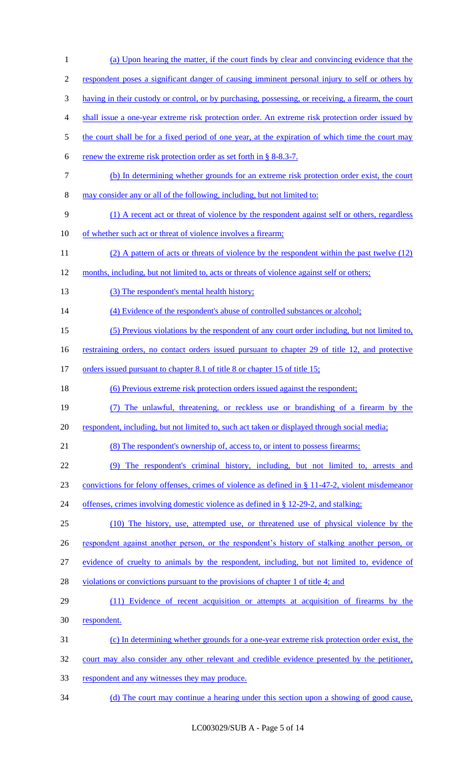| $\mathbf{1}$     | (a) Upon hearing the matter, if the court finds by clear and convincing evidence that the            |
|------------------|------------------------------------------------------------------------------------------------------|
| $\overline{c}$   | respondent poses a significant danger of causing imminent personal injury to self or others by       |
| 3                | having in their custody or control, or by purchasing, possessing, or receiving, a firearm, the court |
| $\overline{4}$   | shall issue a one-year extreme risk protection order. An extreme risk protection order issued by     |
| 5                | the court shall be for a fixed period of one year, at the expiration of which time the court may     |
| 6                | renew the extreme risk protection order as set forth in § 8-8.3-7.                                   |
| $\boldsymbol{7}$ | (b) In determining whether grounds for an extreme risk protection order exist, the court             |
| $8\,$            | may consider any or all of the following, including, but not limited to:                             |
| $\mathbf{9}$     | (1) A recent act or threat of violence by the respondent against self or others, regardless          |
| 10               | of whether such act or threat of violence involves a firearm;                                        |
| 11               | (2) A pattern of acts or threats of violence by the respondent within the past twelve (12)           |
| 12               | months, including, but not limited to, acts or threats of violence against self or others;           |
| 13               | (3) The respondent's mental health history;                                                          |
| 14               | (4) Evidence of the respondent's abuse of controlled substances or alcohol;                          |
| 15               | (5) Previous violations by the respondent of any court order including, but not limited to,          |
| 16               | restraining orders, no contact orders issued pursuant to chapter 29 of title 12, and protective      |
| 17               | orders issued pursuant to chapter 8.1 of title 8 or chapter 15 of title 15;                          |
| 18               | (6) Previous extreme risk protection orders issued against the respondent;                           |
| 19               | (7) The unlawful, threatening, or reckless use or brandishing of a firearm by the                    |
| 20               | respondent, including, but not limited to, such act taken or displayed through social media;         |
| 21               | (8) The respondent's ownership of, access to, or intent to possess firearms;                         |
| 22               | (9) The respondent's criminal history, including, but not limited to, arrests and                    |
| 23               | convictions for felony offenses, crimes of violence as defined in § 11-47-2, violent misdemeanor     |
| 24               | offenses, crimes involving domestic violence as defined in § 12-29-2, and stalking;                  |
| 25               | (10) The history, use, attempted use, or threatened use of physical violence by the                  |
| 26               | respondent against another person, or the respondent's history of stalking another person, or        |
| 27               | evidence of cruelty to animals by the respondent, including, but not limited to, evidence of         |
| 28               | violations or convictions pursuant to the provisions of chapter 1 of title 4; and                    |
| 29               | (11) Evidence of recent acquisition or attempts at acquisition of firearms by the                    |
| 30               | respondent.                                                                                          |
| 31               | (c) In determining whether grounds for a one-year extreme risk protection order exist, the           |
| 32               | court may also consider any other relevant and credible evidence presented by the petitioner,        |
| 33               | respondent and any witnesses they may produce.                                                       |
| 34               | (d) The court may continue a hearing under this section upon a showing of good cause,                |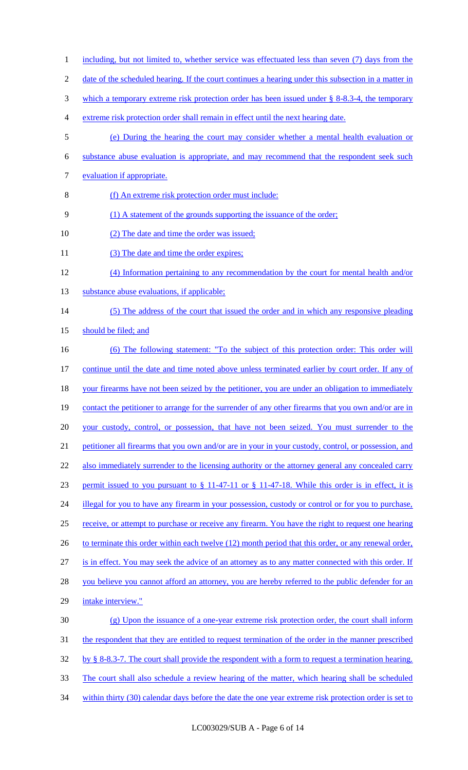1 including, but not limited to, whether service was effectuated less than seven (7) days from the 2 date of the scheduled hearing. If the court continues a hearing under this subsection in a matter in 3 which a temporary extreme risk protection order has been issued under § 8-8.3-4, the temporary 4 extreme risk protection order shall remain in effect until the next hearing date. 5 (e) During the hearing the court may consider whether a mental health evaluation or 6 substance abuse evaluation is appropriate, and may recommend that the respondent seek such 7 evaluation if appropriate. 8 (f) An extreme risk protection order must include: 9 (1) A statement of the grounds supporting the issuance of the order; 10 (2) The date and time the order was issued; 11 (3) The date and time the order expires; 12 (4) Information pertaining to any recommendation by the court for mental health and/or 13 substance abuse evaluations, if applicable; 14 (5) The address of the court that issued the order and in which any responsive pleading 15 should be filed; and 16 (6) The following statement: "To the subject of this protection order: This order will 17 continue until the date and time noted above unless terminated earlier by court order. If any of 18 your firearms have not been seized by the petitioner, you are under an obligation to immediately 19 contact the petitioner to arrange for the surrender of any other firearms that you own and/or are in 20 your custody, control, or possession, that have not been seized. You must surrender to the 21 petitioner all firearms that you own and/or are in your in your custody, control, or possession, and 22 also immediately surrender to the licensing authority or the attorney general any concealed carry 23 permit issued to you pursuant to § 11-47-11 or § 11-47-18. While this order is in effect, it is 24 illegal for you to have any firearm in your possession, custody or control or for you to purchase, 25 receive, or attempt to purchase or receive any firearm. You have the right to request one hearing 26 to terminate this order within each twelve (12) month period that this order, or any renewal order, 27 is in effect. You may seek the advice of an attorney as to any matter connected with this order. If 28 you believe you cannot afford an attorney, you are hereby referred to the public defender for an 29 intake interview." 30 (g) Upon the issuance of a one-year extreme risk protection order, the court shall inform 31 the respondent that they are entitled to request termination of the order in the manner prescribed 32 by § 8-8.3-7. The court shall provide the respondent with a form to request a termination hearing. 33 The court shall also schedule a review hearing of the matter, which hearing shall be scheduled 34 within thirty (30) calendar days before the date the one year extreme risk protection order is set to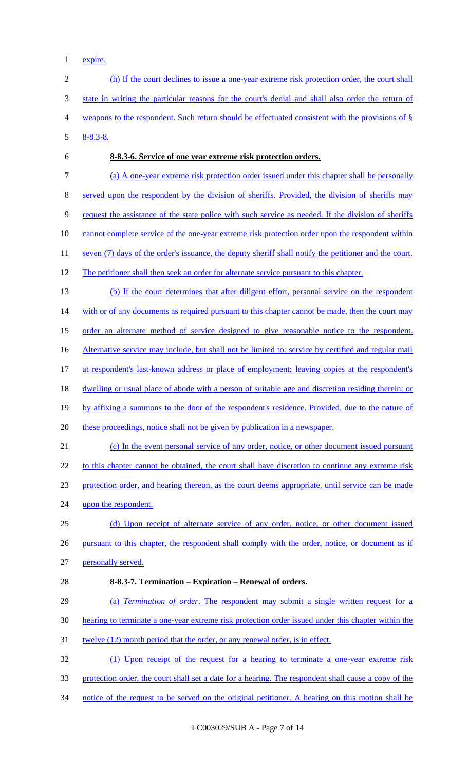expire.

 (h) If the court declines to issue a one-year extreme risk protection order, the court shall state in writing the particular reasons for the court's denial and shall also order the return of weapons to the respondent. Such return should be effectuated consistent with the provisions of § 8-8.3-8. **8-8.3-6. Service of one year extreme risk protection orders.**  (a) A one-year extreme risk protection order issued under this chapter shall be personally served upon the respondent by the division of sheriffs. Provided, the division of sheriffs may request the assistance of the state police with such service as needed. If the division of sheriffs 10 cannot complete service of the one-year extreme risk protection order upon the respondent within 11 seven (7) days of the order's issuance, the deputy sheriff shall notify the petitioner and the court. 12 The petitioner shall then seek an order for alternate service pursuant to this chapter. (b) If the court determines that after diligent effort, personal service on the respondent 14 with or of any documents as required pursuant to this chapter cannot be made, then the court may 15 order an alternate method of service designed to give reasonable notice to the respondent. 16 Alternative service may include, but shall not be limited to: service by certified and regular mail at respondent's last-known address or place of employment; leaving copies at the respondent's dwelling or usual place of abode with a person of suitable age and discretion residing therein; or by affixing a summons to the door of the respondent's residence. Provided, due to the nature of these proceedings, notice shall not be given by publication in a newspaper. (c) In the event personal service of any order, notice, or other document issued pursuant 22 to this chapter cannot be obtained, the court shall have discretion to continue any extreme risk protection order, and hearing thereon, as the court deems appropriate, until service can be made 24 upon the respondent. (d) Upon receipt of alternate service of any order, notice, or other document issued 26 pursuant to this chapter, the respondent shall comply with the order, notice, or document as if personally served. **8-8.3-7. Termination – Expiration – Renewal of orders.**  (a) *Termination of order*. The respondent may submit a single written request for a hearing to terminate a one-year extreme risk protection order issued under this chapter within the 31 twelve (12) month period that the order, or any renewal order, is in effect. (1) Upon receipt of the request for a hearing to terminate a one-year extreme risk protection order, the court shall set a date for a hearing. The respondent shall cause a copy of the notice of the request to be served on the original petitioner. A hearing on this motion shall be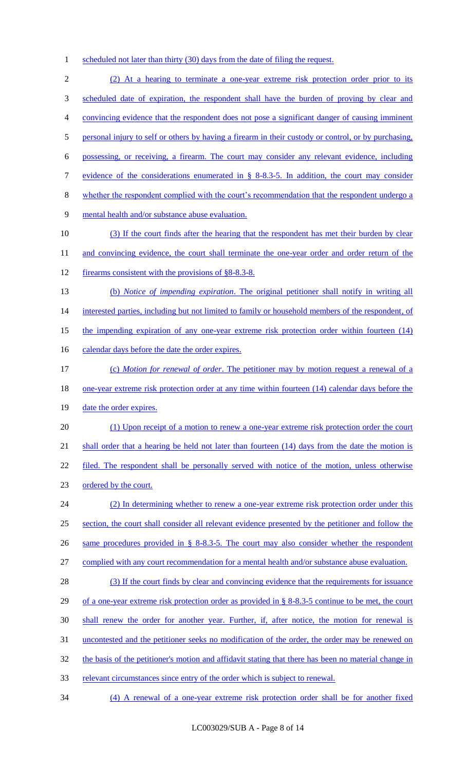1 scheduled not later than thirty (30) days from the date of filing the request.

 (2) At a hearing to terminate a one-year extreme risk protection order prior to its scheduled date of expiration, the respondent shall have the burden of proving by clear and convincing evidence that the respondent does not pose a significant danger of causing imminent 5 personal injury to self or others by having a firearm in their custody or control, or by purchasing, possessing, or receiving, a firearm. The court may consider any relevant evidence, including evidence of the considerations enumerated in § 8-8.3-5. In addition, the court may consider whether the respondent complied with the court's recommendation that the respondent undergo a mental health and/or substance abuse evaluation. (3) If the court finds after the hearing that the respondent has met their burden by clear 11 and convincing evidence, the court shall terminate the one-year order and order return of the firearms consistent with the provisions of §8-8.3-8. (b) *Notice of impending expiration*. The original petitioner shall notify in writing all 14 interested parties, including but not limited to family or household members of the respondent, of the impending expiration of any one-year extreme risk protection order within fourteen (14) 16 calendar days before the date the order expires. (c) *Motion for renewal of order*. The petitioner may by motion request a renewal of a 18 <u>one-year extreme risk protection order at any time within fourteen (14) calendar days before the</u> 19 date the order expires. (1) Upon receipt of a motion to renew a one-year extreme risk protection order the court 21 shall order that a hearing be held not later than fourteen (14) days from the date the motion is 22 filed. The respondent shall be personally served with notice of the motion, unless otherwise ordered by the court. (2) In determining whether to renew a one-year extreme risk protection order under this section, the court shall consider all relevant evidence presented by the petitioner and follow the same procedures provided in § 8-8.3-5. The court may also consider whether the respondent complied with any court recommendation for a mental health and/or substance abuse evaluation. 28 (3) If the court finds by clear and convincing evidence that the requirements for issuance of a one-year extreme risk protection order as provided in § 8-8.3-5 continue to be met, the court shall renew the order for another year. Further, if, after notice, the motion for renewal is uncontested and the petitioner seeks no modification of the order, the order may be renewed on 32 the basis of the petitioner's motion and affidavit stating that there has been no material change in relevant circumstances since entry of the order which is subject to renewal. (4) A renewal of a one-year extreme risk protection order shall be for another fixed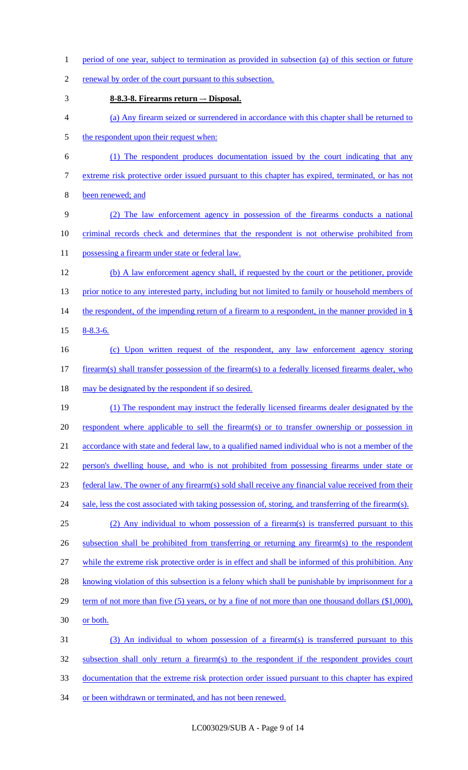1 period of one year, subject to termination as provided in subsection (a) of this section or future

2 renewal by order of the court pursuant to this subsection.

- 3 **8-8.3-8. Firearms return –- Disposal.**
- 4 (a) Any firearm seized or surrendered in accordance with this chapter shall be returned to
- 5 the respondent upon their request when:
- 6 (1) The respondent produces documentation issued by the court indicating that any 7 extreme risk protective order issued pursuant to this chapter has expired, terminated, or has not
- 8 been renewed; and
- 9 (2) The law enforcement agency in possession of the firearms conducts a national 10 criminal records check and determines that the respondent is not otherwise prohibited from 11 possessing a firearm under state or federal law.
- 12 (b) A law enforcement agency shall, if requested by the court or the petitioner, provide 13 prior notice to any interested party, including but not limited to family or household members of 14 the respondent, of the impending return of a firearm to a respondent, in the manner provided in § 15 8-8.3-6.
- 16 (c) Upon written request of the respondent, any law enforcement agency storing 17 firearm(s) shall transfer possession of the firearm(s) to a federally licensed firearms dealer, who 18 may be designated by the respondent if so desired.
- 19 (1) The respondent may instruct the federally licensed firearms dealer designated by the 20 respondent where applicable to sell the firearm(s) or to transfer ownership or possession in 21 accordance with state and federal law, to a qualified named individual who is not a member of the 22 person's dwelling house, and who is not prohibited from possessing firearms under state or 23 federal law. The owner of any firearm(s) sold shall receive any financial value received from their 24 sale, less the cost associated with taking possession of, storing, and transferring of the firearm(s). 25 (2) Any individual to whom possession of a firearm(s) is transferred pursuant to this
- 26 subsection shall be prohibited from transferring or returning any firearm(s) to the respondent
- 27 while the extreme risk protective order is in effect and shall be informed of this prohibition. Any
- 28 knowing violation of this subsection is a felony which shall be punishable by imprisonment for a
- 29 term of not more than five (5) years, or by a fine of not more than one thousand dollars (\$1,000),
- 30 or both.
- 31 (3) An individual to whom possession of a firearm(s) is transferred pursuant to this 32 subsection shall only return a firearm(s) to the respondent if the respondent provides court 33 documentation that the extreme risk protection order issued pursuant to this chapter has expired 34 or been withdrawn or terminated, and has not been renewed.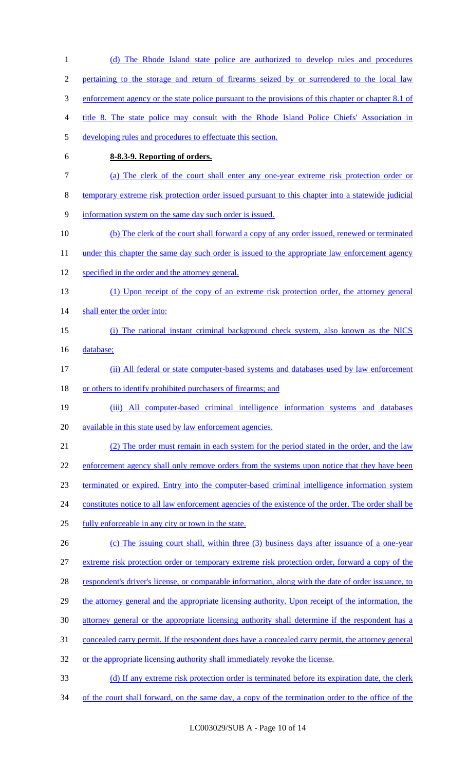(d) The Rhode Island state police are authorized to develop rules and procedures pertaining to the storage and return of firearms seized by or surrendered to the local law 3 enforcement agency or the state police pursuant to the provisions of this chapter or chapter 8.1 of title 8. The state police may consult with the Rhode Island Police Chiefs' Association in developing rules and procedures to effectuate this section. **8-8.3-9. Reporting of orders.**  (a) The clerk of the court shall enter any one-year extreme risk protection order or temporary extreme risk protection order issued pursuant to this chapter into a statewide judicial information system on the same day such order is issued. (b) The clerk of the court shall forward a copy of any order issued, renewed or terminated 11 under this chapter the same day such order is issued to the appropriate law enforcement agency specified in the order and the attorney general. (1) Upon receipt of the copy of an extreme risk protection order, the attorney general 14 shall enter the order into: (i) The national instant criminal background check system, also known as the NICS 16 database; (ii) All federal or state computer-based systems and databases used by law enforcement 18 or others to identify prohibited purchasers of firearms; and (iii) All computer-based criminal intelligence information systems and databases available in this state used by law enforcement agencies. (2) The order must remain in each system for the period stated in the order, and the law 22 enforcement agency shall only remove orders from the systems upon notice that they have been terminated or expired. Entry into the computer-based criminal intelligence information system 24 constitutes notice to all law enforcement agencies of the existence of the order. The order shall be fully enforceable in any city or town in the state. 26 (c) The issuing court shall, within three (3) business days after issuance of a one-year extreme risk protection order or temporary extreme risk protection order, forward a copy of the 28 respondent's driver's license, or comparable information, along with the date of order issuance, to 29 the attorney general and the appropriate licensing authority. Upon receipt of the information, the attorney general or the appropriate licensing authority shall determine if the respondent has a concealed carry permit. If the respondent does have a concealed carry permit, the attorney general 32 or the appropriate licensing authority shall immediately revoke the license. 33 (d) If any extreme risk protection order is terminated before its expiration date, the clerk 34 of the court shall forward, on the same day, a copy of the termination order to the office of the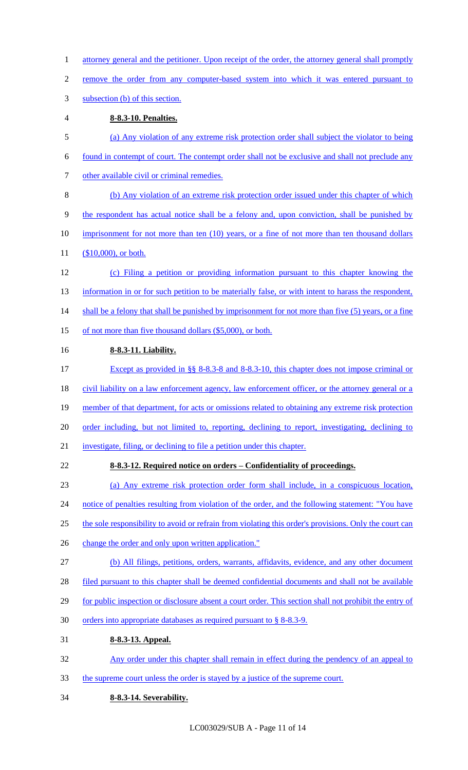- 1 attorney general and the petitioner. Upon receipt of the order, the attorney general shall promptly
- 2 remove the order from any computer-based system into which it was entered pursuant to
- 3 subsection (b) of this section.
- 4 **8-8.3-10. Penalties.**
- 5 (a) Any violation of any extreme risk protection order shall subject the violator to being 6 found in contempt of court. The contempt order shall not be exclusive and shall not preclude any 7 other available civil or criminal remedies. 8 (b) Any violation of an extreme risk protection order issued under this chapter of which 9 the respondent has actual notice shall be a felony and, upon conviction, shall be punished by 10 imprisonment for not more than ten (10) years, or a fine of not more than ten thousand dollars 11 (\$10,000), or both. 12 (c) Filing a petition or providing information pursuant to this chapter knowing the 13 information in or for such petition to be materially false, or with intent to harass the respondent, 14 shall be a felony that shall be punished by imprisonment for not more than five (5) years, or a fine 15 of not more than five thousand dollars (\$5,000), or both.
- 16 **8-8.3-11. Liability.**
- 17 Except as provided in §§ 8-8.3-8 and 8-8.3-10, this chapter does not impose criminal or 18 civil liability on a law enforcement agency, law enforcement officer, or the attorney general or a 19 member of that department, for acts or omissions related to obtaining any extreme risk protection 20 order including, but not limited to, reporting, declining to report, investigating, declining to 21 investigate, filing, or declining to file a petition under this chapter.
- 22 **8-8.3-12. Required notice on orders – Confidentiality of proceedings.**
- 23 (a) Any extreme risk protection order form shall include, in a conspicuous location, 24 notice of penalties resulting from violation of the order, and the following statement: "You have 25 the sole responsibility to avoid or refrain from violating this order's provisions. Only the court can
- 26 change the order and only upon written application."
- 27 (b) All filings, petitions, orders, warrants, affidavits, evidence, and any other document
- 28 filed pursuant to this chapter shall be deemed confidential documents and shall not be available
- 29 for public inspection or disclosure absent a court order. This section shall not prohibit the entry of
- 30 orders into appropriate databases as required pursuant to § 8-8.3-9.
- 31 **8-8.3-13. Appeal.**
- 32 Any order under this chapter shall remain in effect during the pendency of an appeal to
- 33 the supreme court unless the order is stayed by a justice of the supreme court.
- 34 **8-8.3-14. Severability.**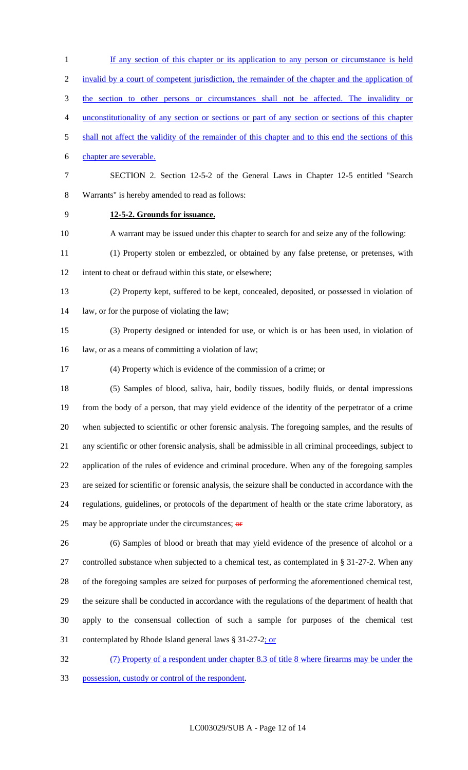1 If any section of this chapter or its application to any person or circumstance is held invalid by a court of competent jurisdiction, the remainder of the chapter and the application of the section to other persons or circumstances shall not be affected. The invalidity or unconstitutionality of any section or sections or part of any section or sections of this chapter shall not affect the validity of the remainder of this chapter and to this end the sections of this chapter are severable. SECTION 2. Section 12-5-2 of the General Laws in Chapter 12-5 entitled "Search Warrants" is hereby amended to read as follows: **12-5-2. Grounds for issuance.** A warrant may be issued under this chapter to search for and seize any of the following: (1) Property stolen or embezzled, or obtained by any false pretense, or pretenses, with intent to cheat or defraud within this state, or elsewhere; (2) Property kept, suffered to be kept, concealed, deposited, or possessed in violation of law, or for the purpose of violating the law; (3) Property designed or intended for use, or which is or has been used, in violation of law, or as a means of committing a violation of law; (4) Property which is evidence of the commission of a crime; or (5) Samples of blood, saliva, hair, bodily tissues, bodily fluids, or dental impressions from the body of a person, that may yield evidence of the identity of the perpetrator of a crime when subjected to scientific or other forensic analysis. The foregoing samples, and the results of any scientific or other forensic analysis, shall be admissible in all criminal proceedings, subject to application of the rules of evidence and criminal procedure. When any of the foregoing samples are seized for scientific or forensic analysis, the seizure shall be conducted in accordance with the regulations, guidelines, or protocols of the department of health or the state crime laboratory, as 25 may be appropriate under the circumstances;  $\theta$  (6) Samples of blood or breath that may yield evidence of the presence of alcohol or a controlled substance when subjected to a chemical test, as contemplated in § 31-27-2. When any of the foregoing samples are seized for purposes of performing the aforementioned chemical test, the seizure shall be conducted in accordance with the regulations of the department of health that apply to the consensual collection of such a sample for purposes of the chemical test contemplated by Rhode Island general laws § 31-27-2; or (7) Property of a respondent under chapter 8.3 of title 8 where firearms may be under the

possession, custody or control of the respondent.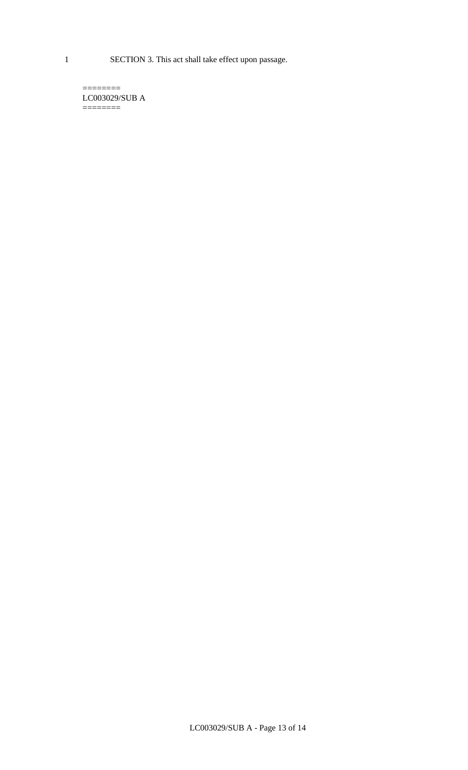1 SECTION 3. This act shall take effect upon passage.

 $=$ LC003029/SUB A  $=$